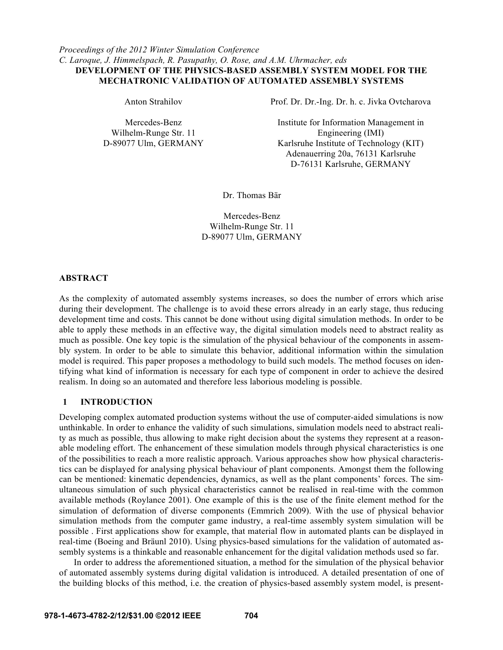## *Proceedings of the 2012 Winter Simulation Conference C. Laroque, J. Himmelspach, R. Pasupathy, O. Rose, and A.M. Uhrmacher, eds* **DEVELOPMENT OF THE PHYSICS-BASED ASSEMBLY SYSTEM MODEL FOR THE MECHATRONIC VALIDATION OF AUTOMATED ASSEMBLY SYSTEMS**

Mercedes-Benz Wilhelm-Runge Str. 11

Anton Strahilov Prof. Dr. Dr.-Ing. Dr. h. c. Jivka Ovtcharova

Institute for Information Management in Engineering (IMI) D-89077 Ulm, GERMANY Karlsruhe Institute of Technology (KIT) Adenauerring 20a, 76131 Karlsruhe D-76131 Karlsruhe, GERMANY

Dr. Thomas Bär

Mercedes-Benz Wilhelm-Runge Str. 11 D-89077 Ulm, GERMANY

#### **ABSTRACT**

As the complexity of automated assembly systems increases, so does the number of errors which arise during their development. The challenge is to avoid these errors already in an early stage, thus reducing development time and costs. This cannot be done without using digital simulation methods. In order to be able to apply these methods in an effective way, the digital simulation models need to abstract reality as much as possible. One key topic is the simulation of the physical behaviour of the components in assembly system. In order to be able to simulate this behavior, additional information within the simulation model is required. This paper proposes a methodology to build such models. The method focuses on identifying what kind of information is necessary for each type of component in order to achieve the desired realism. In doing so an automated and therefore less laborious modeling is possible.

## **1 INTRODUCTION**

Developing complex automated production systems without the use of computer-aided simulations is now unthinkable. In order to enhance the validity of such simulations, simulation models need to abstract reality as much as possible, thus allowing to make right decision about the systems they represent at a reasonable modeling effort. The enhancement of these simulation models through physical characteristics is one of the possibilities to reach a more realistic approach. Various approaches show how physical characteristics can be displayed for analysing physical behaviour of plant components. Amongst them the following can be mentioned: kinematic dependencies, dynamics, as well as the plant components' forces. The simultaneous simulation of such physical characteristics cannot be realised in real-time with the common available methods (Roylance 2001). One example of this is the use of the finite element method for the simulation of deformation of diverse components (Emmrich 2009). With the use of physical behavior simulation methods from the computer game industry, a real-time assembly system simulation will be possible . First applications show for example, that material flow in automated plants can be displayed in real-time (Boeing and Bräunl 2010). Using physics-based simulations for the validation of automated assembly systems is a thinkable and reasonable enhancement for the digital validation methods used so far.

 In order to address the aforementioned situation, a method for the simulation of the physical behavior of automated assembly systems during digital validation is introduced. A detailed presentation of one of the building blocks of this method, i.e. the creation of physics-based assembly system model, is present-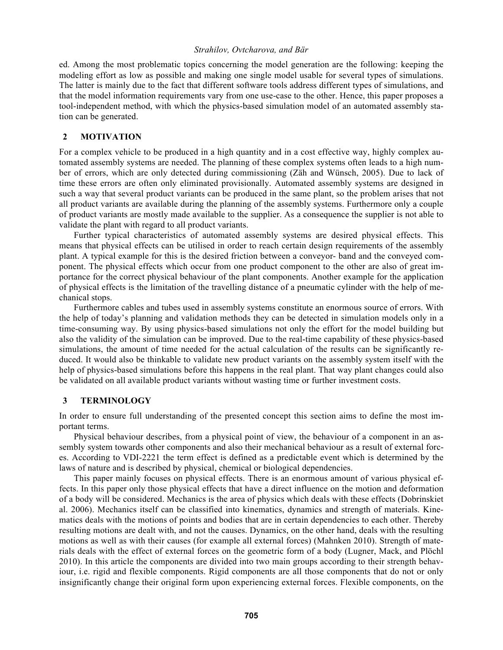ed. Among the most problematic topics concerning the model generation are the following: keeping the modeling effort as low as possible and making one single model usable for several types of simulations. The latter is mainly due to the fact that different software tools address different types of simulations, and that the model information requirements vary from one use-case to the other. Hence, this paper proposes a tool-independent method, with which the physics-based simulation model of an automated assembly station can be generated.

### **2 MOTIVATION**

For a complex vehicle to be produced in a high quantity and in a cost effective way, highly complex automated assembly systems are needed. The planning of these complex systems often leads to a high number of errors, which are only detected during commissioning (Zäh and Wünsch, 2005). Due to lack of time these errors are often only eliminated provisionally. Automated assembly systems are designed in such a way that several product variants can be produced in the same plant, so the problem arises that not all product variants are available during the planning of the assembly systems. Furthermore only a couple of product variants are mostly made available to the supplier. As a consequence the supplier is not able to validate the plant with regard to all product variants.

 Further typical characteristics of automated assembly systems are desired physical effects. This means that physical effects can be utilised in order to reach certain design requirements of the assembly plant. A typical example for this is the desired friction between a conveyor- band and the conveyed component. The physical effects which occur from one product component to the other are also of great importance for the correct physical behaviour of the plant components. Another example for the application of physical effects is the limitation of the travelling distance of a pneumatic cylinder with the help of mechanical stops.

 Furthermore cables and tubes used in assembly systems constitute an enormous source of errors. With the help of today's planning and validation methods they can be detected in simulation models only in a time-consuming way. By using physics-based simulations not only the effort for the model building but also the validity of the simulation can be improved. Due to the real-time capability of these physics-based simulations, the amount of time needed for the actual calculation of the results can be significantly reduced. It would also be thinkable to validate new product variants on the assembly system itself with the help of physics-based simulations before this happens in the real plant. That way plant changes could also be validated on all available product variants without wasting time or further investment costs.

#### **3 TERMINOLOGY**

In order to ensure full understanding of the presented concept this section aims to define the most important terms.

 Physical behaviour describes, from a physical point of view, the behaviour of a component in an assembly system towards other components and also their mechanical behaviour as a result of external forces. According to VDI-2221 the term effect is defined as a predictable event which is determined by the laws of nature and is described by physical, chemical or biological dependencies.

 This paper mainly focuses on physical effects. There is an enormous amount of various physical effects. In this paper only those physical effects that have a direct influence on the motion and deformation of a body will be considered. Mechanics is the area of physics which deals with these effects (Dobrinskiet al. 2006). Mechanics itself can be classified into kinematics, dynamics and strength of materials. Kinematics deals with the motions of points and bodies that are in certain dependencies to each other. Thereby resulting motions are dealt with, and not the causes. Dynamics, on the other hand, deals with the resulting motions as well as with their causes (for example all external forces) (Mahnken 2010). Strength of materials deals with the effect of external forces on the geometric form of a body (Lugner, Mack, and Plöchl 2010). In this article the components are divided into two main groups according to their strength behaviour, i.e. rigid and flexible components. Rigid components are all those components that do not or only insignificantly change their original form upon experiencing external forces. Flexible components, on the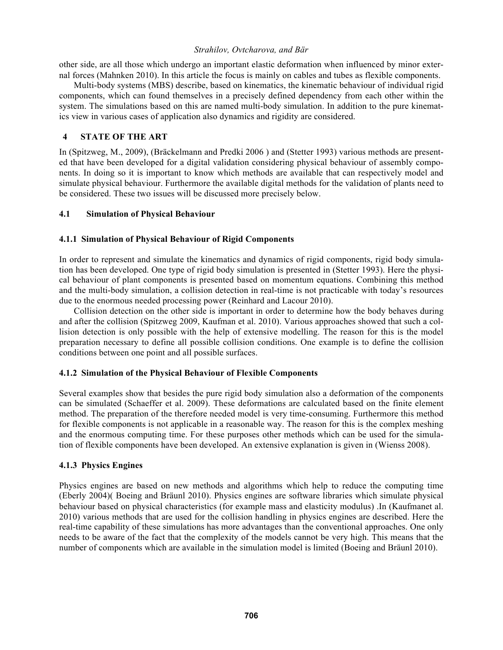other side, are all those which undergo an important elastic deformation when influenced by minor external forces (Mahnken 2010). In this article the focus is mainly on cables and tubes as flexible components.

 Multi-body systems (MBS) describe, based on kinematics, the kinematic behaviour of individual rigid components, which can found themselves in a precisely defined dependency from each other within the system. The simulations based on this are named multi-body simulation. In addition to the pure kinematics view in various cases of application also dynamics and rigidity are considered.

## **4 STATE OF THE ART**

In (Spitzweg, M., 2009), (Bräckelmann and Predki 2006 ) and (Stetter 1993) various methods are presented that have been developed for a digital validation considering physical behaviour of assembly components. In doing so it is important to know which methods are available that can respectively model and simulate physical behaviour. Furthermore the available digital methods for the validation of plants need to be considered. These two issues will be discussed more precisely below.

## **4.1 Simulation of Physical Behaviour**

## **4.1.1 Simulation of Physical Behaviour of Rigid Components**

In order to represent and simulate the kinematics and dynamics of rigid components, rigid body simulation has been developed. One type of rigid body simulation is presented in (Stetter 1993). Here the physical behaviour of plant components is presented based on momentum equations. Combining this method and the multi-body simulation, a collision detection in real-time is not practicable with today's resources due to the enormous needed processing power (Reinhard and Lacour 2010).

 Collision detection on the other side is important in order to determine how the body behaves during and after the collision (Spitzweg 2009, Kaufman et al. 2010). Various approaches showed that such a collision detection is only possible with the help of extensive modelling. The reason for this is the model preparation necessary to define all possible collision conditions. One example is to define the collision conditions between one point and all possible surfaces.

## **4.1.2 Simulation of the Physical Behaviour of Flexible Components**

Several examples show that besides the pure rigid body simulation also a deformation of the components can be simulated (Schaeffer et al. 2009). These deformations are calculated based on the finite element method. The preparation of the therefore needed model is very time-consuming. Furthermore this method for flexible components is not applicable in a reasonable way. The reason for this is the complex meshing and the enormous computing time. For these purposes other methods which can be used for the simulation of flexible components have been developed. An extensive explanation is given in (Wienss 2008).

## **4.1.3 Physics Engines**

Physics engines are based on new methods and algorithms which help to reduce the computing time (Eberly 2004)( Boeing and Bräunl 2010). Physics engines are software libraries which simulate physical behaviour based on physical characteristics (for example mass and elasticity modulus) .In (Kaufmanet al. 2010) various methods that are used for the collision handling in physics engines are described. Here the real-time capability of these simulations has more advantages than the conventional approaches. One only needs to be aware of the fact that the complexity of the models cannot be very high. This means that the number of components which are available in the simulation model is limited (Boeing and Bräunl 2010).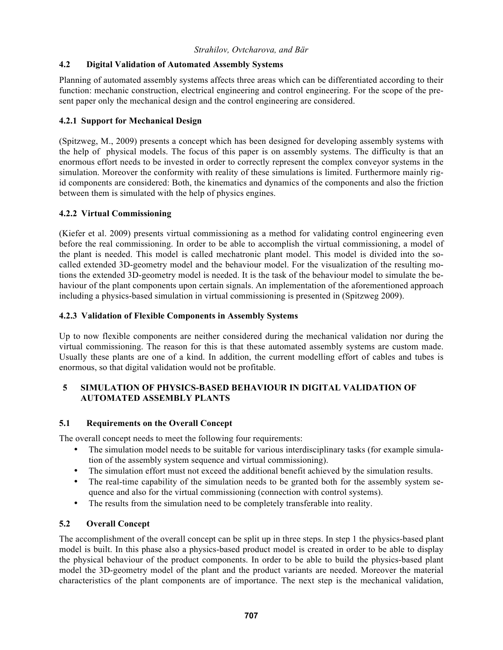## **4.2 Digital Validation of Automated Assembly Systems**

Planning of automated assembly systems affects three areas which can be differentiated according to their function: mechanic construction, electrical engineering and control engineering. For the scope of the present paper only the mechanical design and the control engineering are considered.

# **4.2.1 Support for Mechanical Design**

(Spitzweg, M., 2009) presents a concept which has been designed for developing assembly systems with the help of physical models. The focus of this paper is on assembly systems. The difficulty is that an enormous effort needs to be invested in order to correctly represent the complex conveyor systems in the simulation. Moreover the conformity with reality of these simulations is limited. Furthermore mainly rigid components are considered: Both, the kinematics and dynamics of the components and also the friction between them is simulated with the help of physics engines.

## **4.2.2 Virtual Commissioning**

(Kiefer et al. 2009) presents virtual commissioning as a method for validating control engineering even before the real commissioning. In order to be able to accomplish the virtual commissioning, a model of the plant is needed. This model is called mechatronic plant model. This model is divided into the socalled extended 3D-geometry model and the behaviour model. For the visualization of the resulting motions the extended 3D-geometry model is needed. It is the task of the behaviour model to simulate the behaviour of the plant components upon certain signals. An implementation of the aforementioned approach including a physics-based simulation in virtual commissioning is presented in (Spitzweg 2009).

## **4.2.3 Validation of Flexible Components in Assembly Systems**

Up to now flexible components are neither considered during the mechanical validation nor during the virtual commissioning. The reason for this is that these automated assembly systems are custom made. Usually these plants are one of a kind. In addition, the current modelling effort of cables and tubes is enormous, so that digital validation would not be profitable.

# **5 SIMULATION OF PHYSICS-BASED BEHAVIOUR IN DIGITAL VALIDATION OF AUTOMATED ASSEMBLY PLANTS**

## **5.1 Requirements on the Overall Concept**

The overall concept needs to meet the following four requirements:

- The simulation model needs to be suitable for various interdisciplinary tasks (for example simulation of the assembly system sequence and virtual commissioning).
- The simulation effort must not exceed the additional benefit achieved by the simulation results.
- The real-time capability of the simulation needs to be granted both for the assembly system sequence and also for the virtual commissioning (connection with control systems).
- The results from the simulation need to be completely transferable into reality.

# **5.2 Overall Concept**

The accomplishment of the overall concept can be split up in three steps. In step 1 the physics-based plant model is built. In this phase also a physics-based product model is created in order to be able to display the physical behaviour of the product components. In order to be able to build the physics-based plant model the 3D-geometry model of the plant and the product variants are needed. Moreover the material characteristics of the plant components are of importance. The next step is the mechanical validation,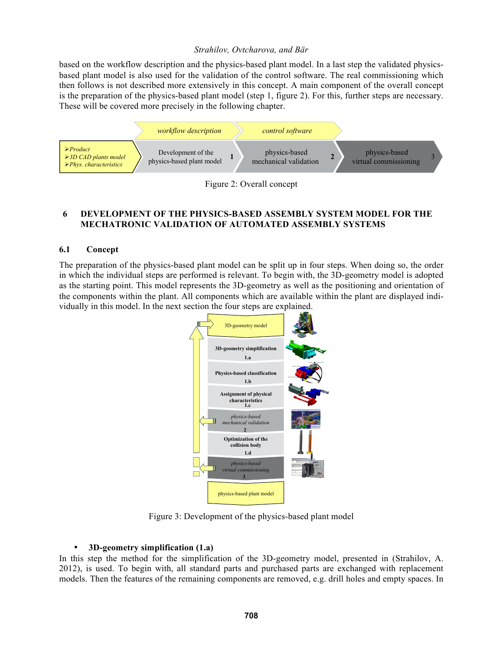based on the workflow description and the physics-based plant model. In a last step the validated physicsbased plant model is also used for the validation of the control software. The real commissioning which then follows is not described more extensively in this concept. A main component of the overall concept is the preparation of the physics-based plant model (step 1, figure 2). For this, further steps are necessary. These will be covered more precisely in the following chapter.



Figure 2: Overall concept

## **6 DEVELOPMENT OF THE PHYSICS-BASED ASSEMBLY SYSTEM MODEL FOR THE MECHATRONIC VALIDATION OF AUTOMATED ASSEMBLY SYSTEMS**

## **6.1 Concept**

The preparation of the physics-based plant model can be split up in four steps. When doing so, the order in which the individual steps are performed is relevant. To begin with, the 3D-geometry model is adopted as the starting point. This model represents the 3D-geometry as well as the positioning and orientation of the components within the plant. All components which are available within the plant are displayed individually in this model. In the next section the four steps are explained.



Figure 3: Development of the physics-based plant model

## • **3D-geometry simplification (1.a)**

In this step the method for the simplification of the 3D-geometry model, presented in (Strahilov, A. 2012), is used. To begin with, all standard parts and purchased parts are exchanged with replacement models. Then the features of the remaining components are removed, e.g. drill holes and empty spaces. In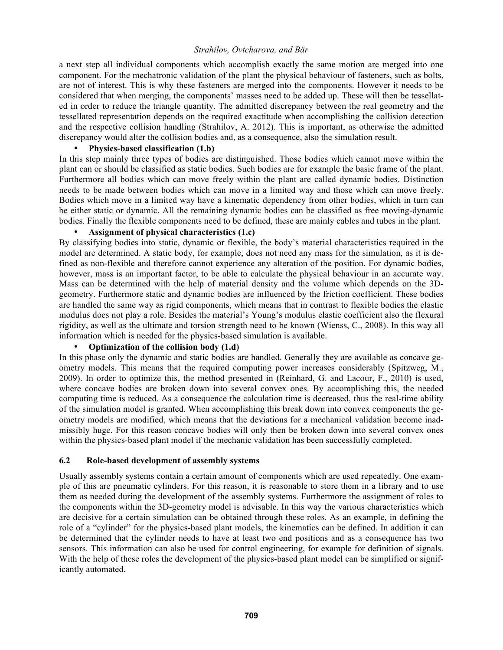a next step all individual components which accomplish exactly the same motion are merged into one component. For the mechatronic validation of the plant the physical behaviour of fasteners, such as bolts, are not of interest. This is why these fasteners are merged into the components. However it needs to be considered that when merging, the components' masses need to be added up. These will then be tessellated in order to reduce the triangle quantity. The admitted discrepancy between the real geometry and the tessellated representation depends on the required exactitude when accomplishing the collision detection and the respective collision handling (Strahilov, A. 2012). This is important, as otherwise the admitted discrepancy would alter the collision bodies and, as a consequence, also the simulation result.

### • **Physics-based classification (1.b)**

In this step mainly three types of bodies are distinguished. Those bodies which cannot move within the plant can or should be classified as static bodies. Such bodies are for example the basic frame of the plant. Furthermore all bodies which can move freely within the plant are called dynamic bodies. Distinction needs to be made between bodies which can move in a limited way and those which can move freely. Bodies which move in a limited way have a kinematic dependency from other bodies, which in turn can be either static or dynamic. All the remaining dynamic bodies can be classified as free moving-dynamic bodies. Finally the flexible components need to be defined, these are mainly cables and tubes in the plant.

### • **Assignment of physical characteristics (1.c)**

By classifying bodies into static, dynamic or flexible, the body's material characteristics required in the model are determined. A static body, for example, does not need any mass for the simulation, as it is defined as non-flexible and therefore cannot experience any alteration of the position. For dynamic bodies, however, mass is an important factor, to be able to calculate the physical behaviour in an accurate way. Mass can be determined with the help of material density and the volume which depends on the 3Dgeometry. Furthermore static and dynamic bodies are influenced by the friction coefficient. These bodies are handled the same way as rigid components, which means that in contrast to flexible bodies the elastic modulus does not play a role. Besides the material's Young's modulus elastic coefficient also the flexural rigidity, as well as the ultimate and torsion strength need to be known (Wienss, C., 2008). In this way all information which is needed for the physics-based simulation is available.

## • **Optimization of the collision body (1.d)**

In this phase only the dynamic and static bodies are handled. Generally they are available as concave geometry models. This means that the required computing power increases considerably (Spitzweg, M., 2009). In order to optimize this, the method presented in (Reinhard, G. and Lacour, F., 2010) is used, where concave bodies are broken down into several convex ones. By accomplishing this, the needed computing time is reduced. As a consequence the calculation time is decreased, thus the real-time ability of the simulation model is granted. When accomplishing this break down into convex components the geometry models are modified, which means that the deviations for a mechanical validation become inadmissibly huge. For this reason concave bodies will only then be broken down into several convex ones within the physics-based plant model if the mechanic validation has been successfully completed.

## **6.2 Role-based development of assembly systems**

Usually assembly systems contain a certain amount of components which are used repeatedly. One example of this are pneumatic cylinders. For this reason, it is reasonable to store them in a library and to use them as needed during the development of the assembly systems. Furthermore the assignment of roles to the components within the 3D-geometry model is advisable. In this way the various characteristics which are decisive for a certain simulation can be obtained through these roles. As an example, in defining the role of a "cylinder" for the physics-based plant models, the kinematics can be defined. In addition it can be determined that the cylinder needs to have at least two end positions and as a consequence has two sensors. This information can also be used for control engineering, for example for definition of signals. With the help of these roles the development of the physics-based plant model can be simplified or significantly automated.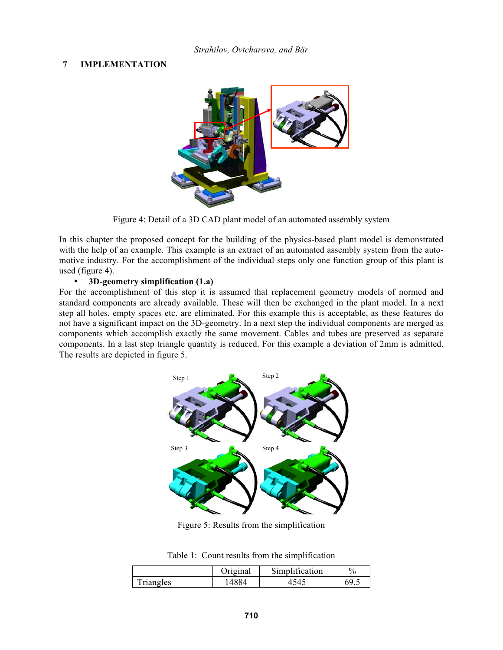## **7 IMPLEMENTATION**



Figure 4: Detail of a 3D CAD plant model of an automated assembly system

In this chapter the proposed concept for the building of the physics-based plant model is demonstrated with the help of an example. This example is an extract of an automated assembly system from the automotive industry. For the accomplishment of the individual steps only one function group of this plant is used (figure 4).

## • **3D-geometry simplification (1.a)**

For the accomplishment of this step it is assumed that replacement geometry models of normed and standard components are already available. These will then be exchanged in the plant model. In a next step all holes, empty spaces etc. are eliminated. For this example this is acceptable, as these features do not have a significant impact on the 3D-geometry. In a next step the individual components are merged as components which accomplish exactly the same movement. Cables and tubes are preserved as separate components. In a last step triangle quantity is reduced. For this example a deviation of 2mm is admitted. The results are depicted in figure 5.



Figure 5: Results from the simplification

Table 1: Count results from the simplification

|           | <b>Priginal</b> | Simplification | $\frac{0}{0}$ |
|-----------|-----------------|----------------|---------------|
| Triangles | 4884            | 74.            | $\sim$ $\sim$ |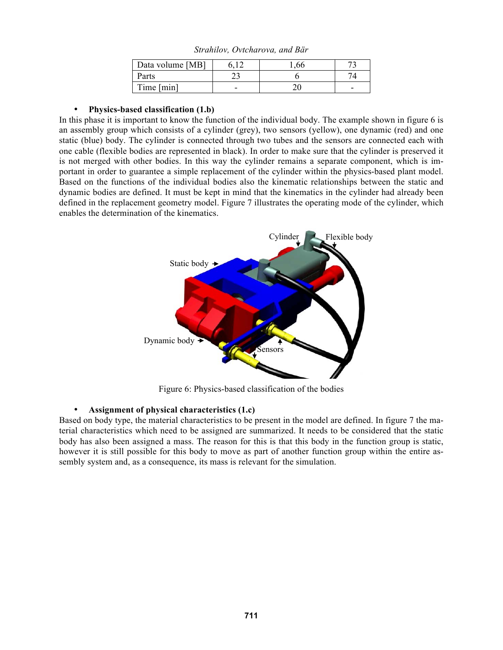| Data volume [MB] |   | 6t | $\overline{\phantom{a}}$ |
|------------------|---|----|--------------------------|
| Parts            |   |    |                          |
| Time [min]       | - |    | -                        |

*Strahilov, Ovtcharova, and Bär*

## • **Physics-based classification (1.b)**

In this phase it is important to know the function of the individual body. The example shown in figure 6 is an assembly group which consists of a cylinder (grey), two sensors (yellow), one dynamic (red) and one static (blue) body. The cylinder is connected through two tubes and the sensors are connected each with one cable (flexible bodies are represented in black). In order to make sure that the cylinder is preserved it is not merged with other bodies. In this way the cylinder remains a separate component, which is important in order to guarantee a simple replacement of the cylinder within the physics-based plant model. Based on the functions of the individual bodies also the kinematic relationships between the static and dynamic bodies are defined. It must be kept in mind that the kinematics in the cylinder had already been defined in the replacement geometry model. Figure 7 illustrates the operating mode of the cylinder, which enables the determination of the kinematics.



Figure 6: Physics-based classification of the bodies

## • **Assignment of physical characteristics (1.c)**

Based on body type, the material characteristics to be present in the model are defined. In figure 7 the material characteristics which need to be assigned are summarized. It needs to be considered that the static body has also been assigned a mass. The reason for this is that this body in the function group is static, however it is still possible for this body to move as part of another function group within the entire assembly system and, as a consequence, its mass is relevant for the simulation.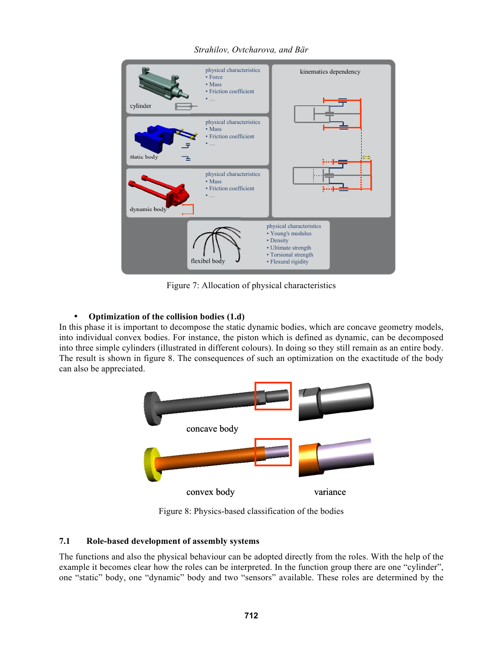

*Strahilov, Ovtcharova, and Bär*

Figure 7: Allocation of physical characteristics

# • **Optimization of the collision bodies (1.d)**

In this phase it is important to decompose the static dynamic bodies, which are concave geometry models, into individual convex bodies. For instance, the piston which is defined as dynamic, can be decomposed into three simple cylinders (illustrated in different colours). In doing so they still remain as an entire body. The result is shown in figure 8. The consequences of such an optimization on the exactitude of the body can also be appreciated.



Figure 8: Physics-based classification of the bodies

# **7.1 Role-based development of assembly systems**

The functions and also the physical behaviour can be adopted directly from the roles. With the help of the example it becomes clear how the roles can be interpreted. In the function group there are one "cylinder", one "static" body, one "dynamic" body and two "sensors" available. These roles are determined by the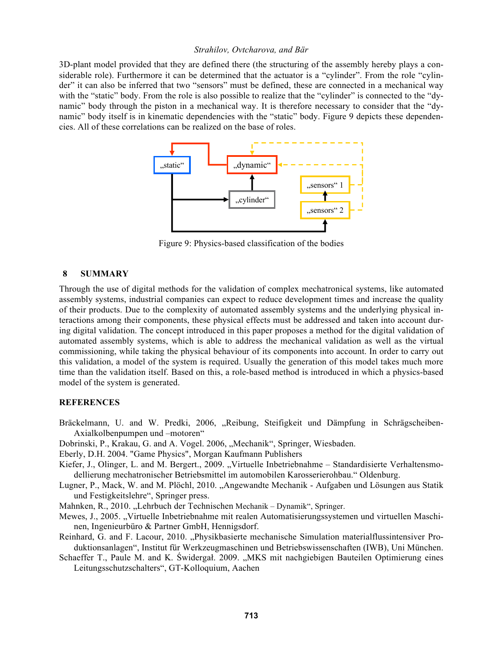3D-plant model provided that they are defined there (the structuring of the assembly hereby plays a considerable role). Furthermore it can be determined that the actuator is a "cylinder". From the role "cylinder" it can also be inferred that two "sensors" must be defined, these are connected in a mechanical way with the "static" body. From the role is also possible to realize that the "cylinder" is connected to the "dynamic" body through the piston in a mechanical way. It is therefore necessary to consider that the "dynamic" body itself is in kinematic dependencies with the "static" body. Figure 9 depicts these dependencies. All of these correlations can be realized on the base of roles.



Figure 9: Physics-based classification of the bodies

## **8 SUMMARY**

Through the use of digital methods for the validation of complex mechatronical systems, like automated assembly systems, industrial companies can expect to reduce development times and increase the quality of their products. Due to the complexity of automated assembly systems and the underlying physical interactions among their components, these physical effects must be addressed and taken into account during digital validation. The concept introduced in this paper proposes a method for the digital validation of automated assembly systems, which is able to address the mechanical validation as well as the virtual commissioning, while taking the physical behaviour of its components into account. In order to carry out this validation, a model of the system is required. Usually the generation of this model takes much more time than the validation itself. Based on this, a role-based method is introduced in which a physics-based model of the system is generated.

#### **REFERENCES**

- Bräckelmann, U. and W. Predki, 2006, "Reibung, Steifigkeit und Dämpfung in Schrägscheiben-Axialkolbenpumpen und –motoren"
- Dobrinski, P., Krakau, G. and A. Vogel. 2006, "Mechanik", Springer, Wiesbaden.
- Eberly, D.H. 2004. "Game Physics", Morgan Kaufmann Publishers
- Kiefer, J., Olinger, L. and M. Bergert., 2009. "Virtuelle Inbetriebnahme Standardisierte Verhaltensmodellierung mechatronischer Betriebsmittel im automobilen Karosserierohbau." Oldenburg.
- Lugner, P., Mack, W. and M. Plöchl, 2010. "Angewandte Mechanik Aufgaben und Lösungen aus Statik und Festigkeitslehre", Springer press.
- Mahnken, R., 2010. "Lehrbuch der Technischen Mechanik Dynamik", Springer.
- Mewes, J., 2005. "Virtuelle Inbetriebnahme mit realen Automatisierungssystemen und virtuellen Maschinen, Ingenieurbüro & Partner GmbH, Hennigsdorf.
- Reinhard, G. and F. Lacour, 2010. "Physikbasierte mechanische Simulation materialflussintensiver Produktionsanlagen", Institut für Werkzeugmaschinen und Betriebswissenschaften (IWB), Uni München.
- Schaeffer T., Paule M. and K. Świdergał. 2009. "MKS mit nachgiebigen Bauteilen Optimierung eines Leitungsschutzschalters", GT-Kolloquium, Aachen